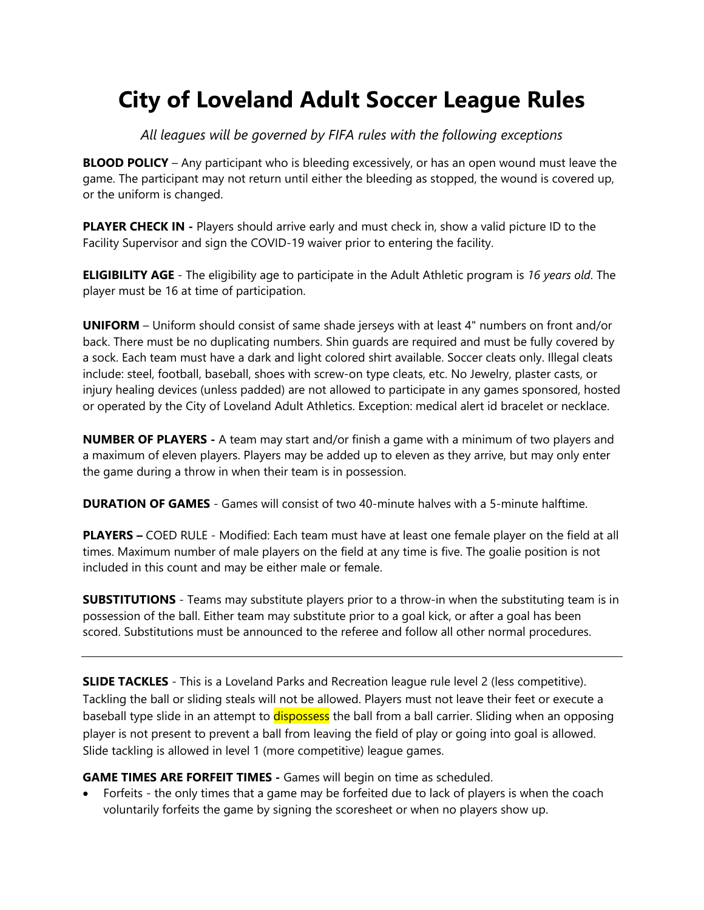## **City of Loveland Adult Soccer League Rules**

*All leagues will be governed by FIFA rules with the following exceptions* 

**BLOOD POLICY** – Any participant who is bleeding excessively, or has an open wound must leave the game. The participant may not return until either the bleeding as stopped, the wound is covered up, or the uniform is changed.

**PLAYER CHECK IN** - Players should arrive early and must check in, show a valid picture ID to the Facility Supervisor and sign the COVID-19 waiver prior to entering the facility.

**ELIGIBILITY AGE** - The eligibility age to participate in the Adult Athletic program is *16 years old*. The player must be 16 at time of participation.

**UNIFORM** – Uniform should consist of same shade jerseys with at least 4" numbers on front and/or back. There must be no duplicating numbers. Shin guards are required and must be fully covered by a sock. Each team must have a dark and light colored shirt available. Soccer cleats only. Illegal cleats include: steel, football, baseball, shoes with screw-on type cleats, etc. No Jewelry, plaster casts, or injury healing devices (unless padded) are not allowed to participate in any games sponsored, hosted or operated by the City of Loveland Adult Athletics. Exception: medical alert id bracelet or necklace.

**NUMBER OF PLAYERS -** A team may start and/or finish a game with a minimum of two players and a maximum of eleven players. Players may be added up to eleven as they arrive, but may only enter the game during a throw in when their team is in possession.

**DURATION OF GAMES** - Games will consist of two 40-minute halves with a 5-minute halftime.

**PLAYERS –** COED RULE - Modified: Each team must have at least one female player on the field at all times. Maximum number of male players on the field at any time is five. The goalie position is not included in this count and may be either male or female.

**SUBSTITUTIONS** - Teams may substitute players prior to a throw-in when the substituting team is in possession of the ball. Either team may substitute prior to a goal kick, or after a goal has been scored. Substitutions must be announced to the referee and follow all other normal procedures.

**SLIDE TACKLES** - This is a Loveland Parks and Recreation league rule level 2 (less competitive). Tackling the ball or sliding steals will not be allowed. Players must not leave their feet or execute a baseball type slide in an attempt to **dispossess** the ball from a ball carrier. Sliding when an opposing player is not present to prevent a ball from leaving the field of play or going into goal is allowed. Slide tackling is allowed in level 1 (more competitive) league games.

**GAME TIMES ARE FORFEIT TIMES -** Games will begin on time as scheduled.

 Forfeits - the only times that a game may be forfeited due to lack of players is when the coach voluntarily forfeits the game by signing the scoresheet or when no players show up.